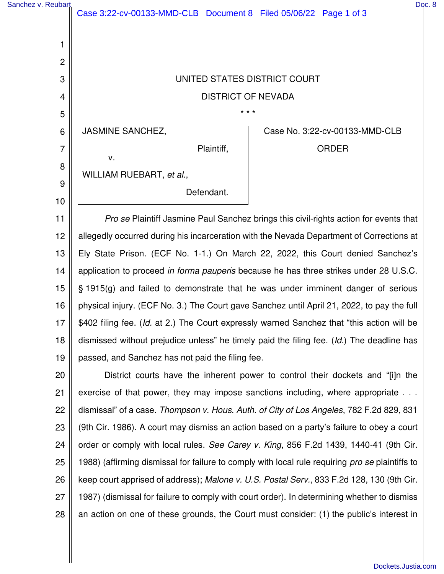| Sanchez v. Reubart |                                                                  |            |  |                                                                                       | Doc. 8 |
|--------------------|------------------------------------------------------------------|------------|--|---------------------------------------------------------------------------------------|--------|
|                    | Case 3:22-cv-00133-MMD-CLB Document 8 Filed 05/06/22 Page 1 of 3 |            |  |                                                                                       |        |
|                    |                                                                  |            |  |                                                                                       |        |
|                    |                                                                  |            |  |                                                                                       |        |
| 2                  |                                                                  |            |  |                                                                                       |        |
| 3                  | UNITED STATES DISTRICT COURT                                     |            |  |                                                                                       |        |
| $\overline{4}$     | <b>DISTRICT OF NEVADA</b>                                        |            |  |                                                                                       |        |
| 5                  | $* * *$                                                          |            |  |                                                                                       |        |
| $6\phantom{1}6$    | <b>JASMINE SANCHEZ,</b>                                          |            |  | Case No. 3:22-cv-00133-MMD-CLB                                                        |        |
| 7                  |                                                                  | Plaintiff, |  | <b>ORDER</b>                                                                          |        |
| 8                  | v.                                                               |            |  |                                                                                       |        |
| 9                  | WILLIAM RUEBART, et al.,                                         |            |  |                                                                                       |        |
|                    |                                                                  | Defendant. |  |                                                                                       |        |
| 10                 |                                                                  |            |  |                                                                                       |        |
| 4 H I              |                                                                  |            |  | Dre so Dlointiff Jeaming Daul Canabaz brings this sivil rights option for overto that |        |

11 12 13 14 15 16 17 18 19 Pro se Plaintiff Jasmine Paul Sanchez brings this civil-rights action for events that allegedly occurred during his incarceration with the Nevada Department of Corrections at Ely State Prison. (ECF No. 1-1.) On March 22, 2022, this Court denied Sanchez's application to proceed in forma pauperis because he has three strikes under 28 U.S.C. § 1915(g) and failed to demonstrate that he was under imminent danger of serious physical injury. (ECF No. 3.) The Court gave Sanchez until April 21, 2022, to pay the full \$402 filing fee. (Id. at 2.) The Court expressly warned Sanchez that "this action will be dismissed without prejudice unless" he timely paid the filing fee. (Id.) The deadline has passed, and Sanchez has not paid the filing fee.

20 21 22 23 24 25 26 27 28 District courts have the inherent power to control their dockets and "[i]n the exercise of that power, they may impose sanctions including, where appropriate . . . dismissal" of a case. Thompson v. Hous. Auth. of City of Los Angeles, 782 F.2d 829, 831 (9th Cir. 1986). A court may dismiss an action based on a party's failure to obey a court order or comply with local rules. See Carey v. King, 856 F.2d 1439, 1440-41 (9th Cir. 1988) (affirming dismissal for failure to comply with local rule requiring pro se plaintiffs to keep court apprised of address); Malone v. U.S. Postal Serv., 833 F.2d 128, 130 (9th Cir. 1987) (dismissal for failure to comply with court order). In determining whether to dismiss an action on one of these grounds, the Court must consider: (1) the public's interest in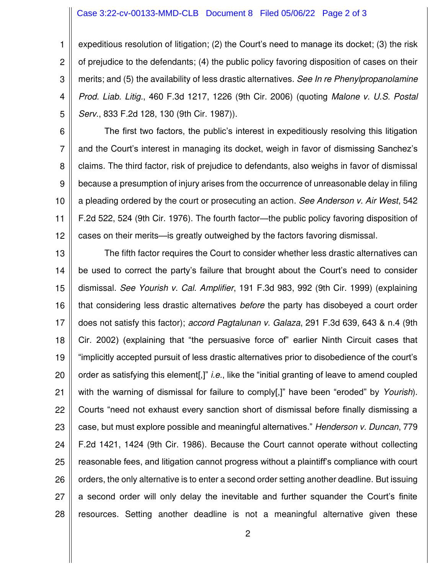## Case 3:22-cv-00133-MMD-CLB Document 8 Filed 05/06/22 Page 2 of 3

1 2 3 4 5 expeditious resolution of litigation; (2) the Court's need to manage its docket; (3) the risk of prejudice to the defendants; (4) the public policy favoring disposition of cases on their merits; and (5) the availability of less drastic alternatives. See In re Phenylpropanolamine Prod. Liab. Litig., 460 F.3d 1217, 1226 (9th Cir. 2006) (quoting Malone v. U.S. Postal Serv., 833 F.2d 128, 130 (9th Cir. 1987)).

6 7 8 9 10 11 12 The first two factors, the public's interest in expeditiously resolving this litigation and the Court's interest in managing its docket, weigh in favor of dismissing Sanchez's claims. The third factor, risk of prejudice to defendants, also weighs in favor of dismissal because a presumption of injury arises from the occurrence of unreasonable delay in filing a pleading ordered by the court or prosecuting an action. See Anderson v. Air West, 542 F.2d 522, 524 (9th Cir. 1976). The fourth factor—the public policy favoring disposition of cases on their merits—is greatly outweighed by the factors favoring dismissal.

13 14 15 16 17 18 19 20 21 22 23 24 25 26 27 28 The fifth factor requires the Court to consider whether less drastic alternatives can be used to correct the party's failure that brought about the Court's need to consider dismissal. See Yourish v. Cal. Amplifier, 191 F.3d 983, 992 (9th Cir. 1999) (explaining that considering less drastic alternatives before the party has disobeyed a court order does not satisfy this factor); accord Pagtalunan v. Galaza, 291 F.3d 639, 643 & n.4 (9th Cir. 2002) (explaining that "the persuasive force of" earlier Ninth Circuit cases that "implicitly accepted pursuit of less drastic alternatives prior to disobedience of the court's order as satisfying this element[,]" *i.e.*, like the "initial granting of leave to amend coupled with the warning of dismissal for failure to comply[.]" have been "eroded" by Yourish). Courts "need not exhaust every sanction short of dismissal before finally dismissing a case, but must explore possible and meaningful alternatives." Henderson v. Duncan, 779 F.2d 1421, 1424 (9th Cir. 1986). Because the Court cannot operate without collecting reasonable fees, and litigation cannot progress without a plaintiff's compliance with court orders, the only alternative is to enter a second order setting another deadline. But issuing a second order will only delay the inevitable and further squander the Court's finite resources. Setting another deadline is not a meaningful alternative given these